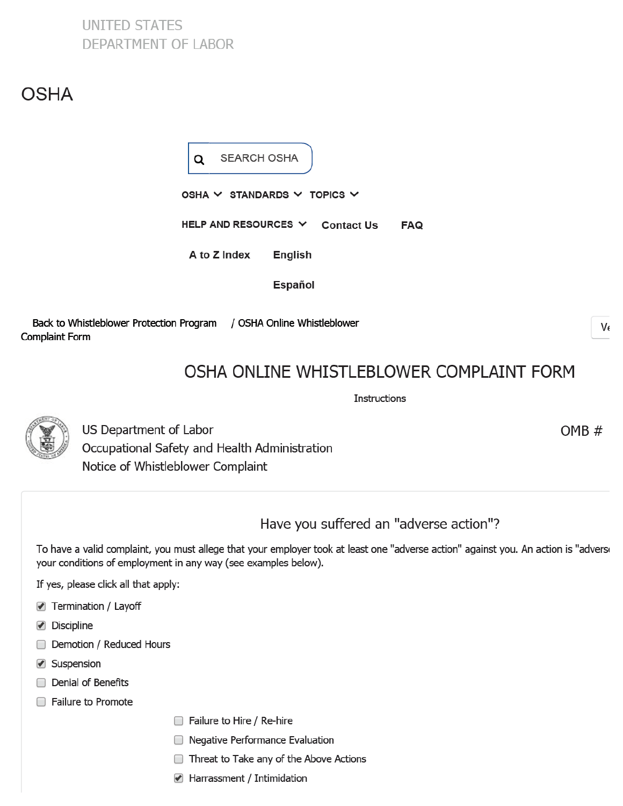## **UNITED STATES DEPARTMENT OF LABOR**

# **OSHA**

**SEARCH OSHA** Q OSHA V STANDARDS V TOPICS V HELP AND RESOURCES V **Contact Us FAQ** A to Z Index **English** Español

Back to Whistleblower Protection Program / OSHA Online Whistleblower **Complaint Form** 

V٤

 $OMB#$ 

# OSHA ONLINE WHISTLEBLOWER COMPLAINT FORM

**Instructions** 



US Department of Labor Occupational Safety and Health Administration Notice of Whistleblower Complaint

Have you suffered an "adverse action"?

To have a valid complaint, you must allege that your employer took at least one "adverse action" against you. An action is "advers your conditions of employment in any way (see examples below).

If yes, please click all that apply:

- Termination / Layoff
- Discipline
- Demotion / Reduced Hours
- ✔ Suspension
- Denial of Benefits
- Failure to Promote
- Failure to Hire / Re-hire
- Regative Performance Evaluation
- Threat to Take any of the Above Actions
- Harrassment / Intimidation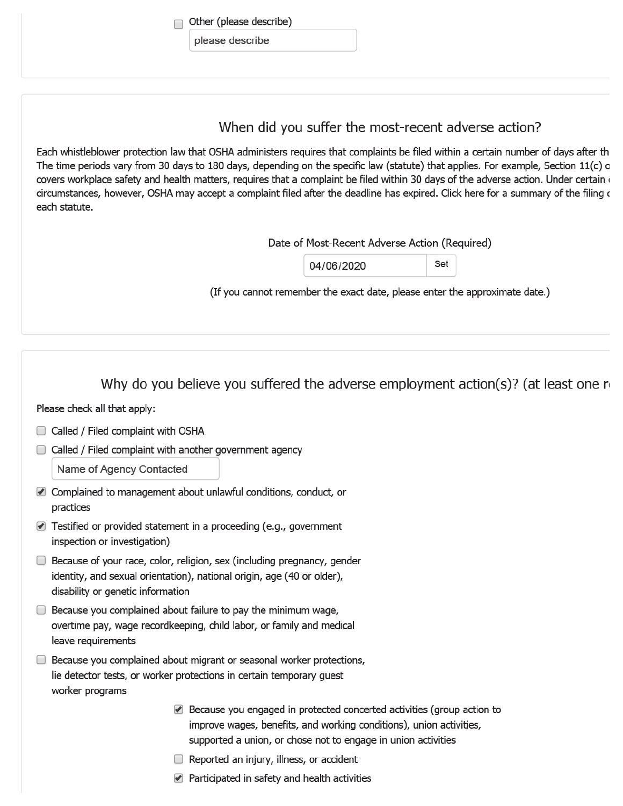Other (please describe)  $\Box$ 

please describe

### When did you suffer the most-recent adverse action?

Each whistleblower protection law that OSHA administers requires that complaints be filed within a certain number of days after th The time periods vary from 30 days to 180 days, depending on the specific law (statute) that applies. For example, Section 11(c) o covers workplace safety and health matters, requires that a complaint be filed within 30 days of the adverse action. Under certain circumstances, however, OSHA may accept a complaint filed after the deadline has expired. Click here for a summary of the filing of each statute.

Date of Most-Recent Adverse Action (Required)

Set

| 04/06/2020 |
|------------|
|------------|

(If you cannot remember the exact date, please enter the approximate date.)

Why do you believe you suffered the adverse employment action(s)? (at least one  $r_1$ 

Please check all that apply:

- Called / Filed complaint with OSHA
- Called / Filed complaint with another government agency

Name of Agency Contacted

- Complained to management about unlawful conditions, conduct, or practices
- Testified or provided statement in a proceeding (e.g., government inspection or investigation)
- $\Box$  Because of your race, color, religion, sex (including pregnancy, gender identity, and sexual orientation), national origin, age (40 or older), disability or genetic information
- $\Box$  Because you complained about failure to pay the minimum wage, overtime pay, wage recordkeeping, child labor, or family and medical leave requirements
- $\Box$  Because you complained about migrant or seasonal worker protections, lie detector tests, or worker protections in certain temporary guest worker programs
	- Because you engaged in protected concerted activities (group action to improve wages, benefits, and working conditions), union activities, supported a union, or chose not to engage in union activities
	- $\Box$  Reported an injury, illness, or accident
	- Participated in safety and health activities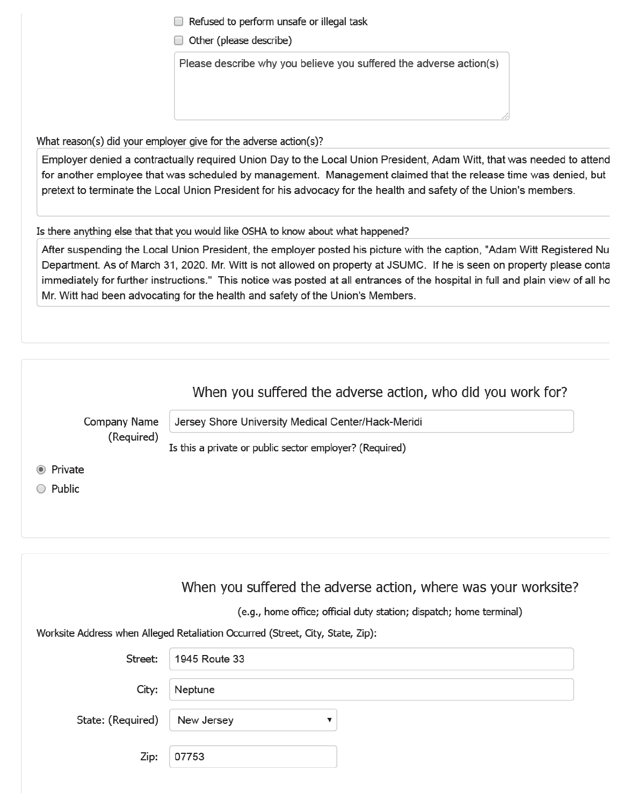$\Box$  Refused to perform unsafe or illegal task

Other (please describe)

Please describe why you believe you suffered the adverse action(s)

What reason(s) did your employer give for the adverse action(s)?

Employer denied a contractually required Union Day to the Local Union President, Adam Witt, that was needed to attend for another employee that was scheduled by management. Management claimed that the release time was denied, but pretext to terminate the Local Union President for his advocacy for the health and safety of the Union's members.

Is there anything else that that you would like OSHA to know about what happened?

After suspending the Local Union President, the employer posted his picture with the caption, "Adam Witt Registered Nu Department. As of March 31, 2020. Mr. Witt is not allowed on property at JSUMC. If he is seen on property please conta immediately for further instructions." This notice was posted at all entrances of the hospital in full and plain view of all ho Mr. Witt had been advocating for the health and safety of the Union's Members.

| When you suffered the adverse action, who did you work for? |  |
|-------------------------------------------------------------|--|
|-------------------------------------------------------------|--|

Company Name Jersey Shore University Medical Center/Hack-Meridi (Required) Is this a private or public sector employer? (Required)

◉ Private

O Public

|                   | When you suffered the adverse action, where was your worksite?                 |
|-------------------|--------------------------------------------------------------------------------|
|                   | (e.g., home office; official duty station; dispatch; home terminal)            |
|                   | Worksite Address when Alleged Retaliation Occurred (Street, City, State, Zip): |
| Street:           | 1945 Route 33                                                                  |
| City:             | Neptune                                                                        |
| State: (Required) | New Jersey                                                                     |
| Zip:              | 07753                                                                          |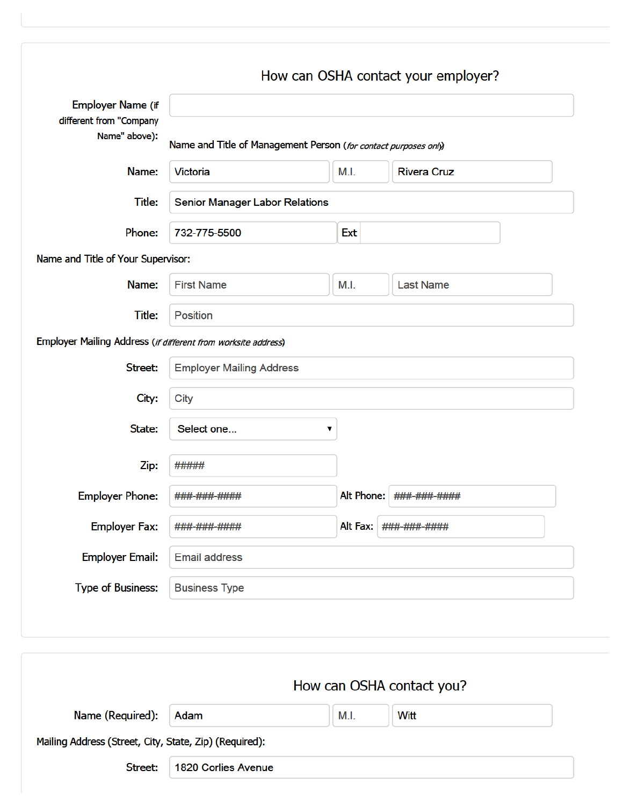|                                          |                                                                 |          | How can OSHA contact your employer? |  |
|------------------------------------------|-----------------------------------------------------------------|----------|-------------------------------------|--|
| <b>Employer Name (if</b>                 |                                                                 |          |                                     |  |
| different from "Company<br>Name" above): | Name and Title of Management Person (for contact purposes only) |          |                                     |  |
| Name:                                    | Victoria                                                        | M.I.     | <b>Rivera Cruz</b>                  |  |
| Title:                                   | <b>Senior Manager Labor Relations</b>                           |          |                                     |  |
| Phone:                                   | 732-775-5500                                                    | Ext      |                                     |  |
| Name and Title of Your Supervisor:       |                                                                 |          |                                     |  |
| Name:                                    | <b>First Name</b>                                               | M.I.     | <b>Last Name</b>                    |  |
| Title:                                   | Position                                                        |          |                                     |  |
|                                          | Employer Mailing Address (if different from worksite address)   |          |                                     |  |
| Street:                                  | <b>Employer Mailing Address</b>                                 |          |                                     |  |
| City:                                    | <b>City</b>                                                     |          |                                     |  |
| State:                                   | Select one                                                      | ▼        |                                     |  |
| Zip:                                     | #####                                                           |          |                                     |  |
| <b>Employer Phone:</b>                   | ###-###-####                                                    |          | Alt Phone: ###-###-####             |  |
| <b>Employer Fax:</b>                     | ###-###-####                                                    | Alt Fax: | ###-###-####                        |  |
| <b>Employer Email:</b>                   | <b>Email address</b>                                            |          |                                     |  |
| <b>Type of Business:</b>                 | <b>Business Type</b>                                            |          |                                     |  |
|                                          |                                                                 |          |                                     |  |
|                                          |                                                                 |          |                                     |  |
|                                          |                                                                 |          | How can OSHA contact you?           |  |
| Name (Required):                         | Adam                                                            | M.I.     | Witt                                |  |
|                                          |                                                                 |          |                                     |  |

Street:

1820 Corlies Avenue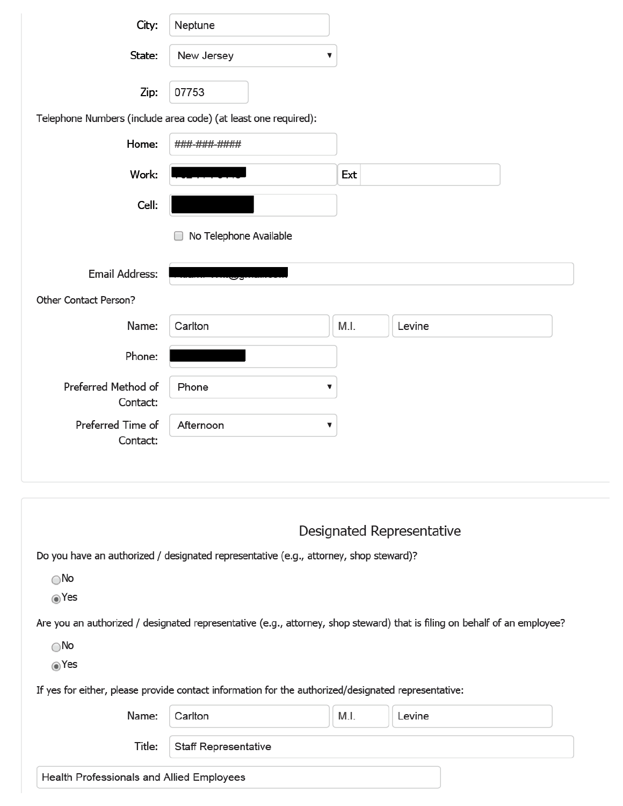| City:                                     | Neptune                                                                                             |                                                                                                                           |  |
|-------------------------------------------|-----------------------------------------------------------------------------------------------------|---------------------------------------------------------------------------------------------------------------------------|--|
| State:                                    | New Jersey                                                                                          | ▼                                                                                                                         |  |
| Zip:                                      | 07753                                                                                               |                                                                                                                           |  |
|                                           | Telephone Numbers (include area code) (at least one required):                                      |                                                                                                                           |  |
| Home:                                     | ###-###-####                                                                                        |                                                                                                                           |  |
| Work:                                     |                                                                                                     | Ext                                                                                                                       |  |
| Cell:                                     |                                                                                                     |                                                                                                                           |  |
|                                           | No Telephone Available                                                                              |                                                                                                                           |  |
| <b>Email Address:</b>                     |                                                                                                     |                                                                                                                           |  |
| Other Contact Person?                     |                                                                                                     |                                                                                                                           |  |
| Name:                                     | Carlton                                                                                             | M.I.<br>Levine                                                                                                            |  |
| Phone:                                    |                                                                                                     |                                                                                                                           |  |
| Preferred Method of<br>Contact:           | Phone                                                                                               | ▼                                                                                                                         |  |
| Preferred Time of<br>Contact:             | Afternoon                                                                                           | ▼                                                                                                                         |  |
|                                           |                                                                                                     |                                                                                                                           |  |
|                                           |                                                                                                     | Designated Representative                                                                                                 |  |
|                                           | Do you have an authorized / designated representative (e.g., attorney, shop steward)?               |                                                                                                                           |  |
| $\bigcirc$ No                             |                                                                                                     |                                                                                                                           |  |
| ies Yes                                   |                                                                                                     |                                                                                                                           |  |
|                                           |                                                                                                     | Are you an authorized / designated representative (e.g., attorney, shop steward) that is filing on behalf of an employee? |  |
| $\bigcirc$ No                             |                                                                                                     |                                                                                                                           |  |
| $\circledcirc$ Yes                        |                                                                                                     |                                                                                                                           |  |
|                                           | If yes for either, please provide contact information for the authorized/designated representative: |                                                                                                                           |  |
| Name:                                     | Carlton                                                                                             | M.I.<br>Levine                                                                                                            |  |
| Title:                                    |                                                                                                     |                                                                                                                           |  |
| Health Professionals and Allied Employees |                                                                                                     |                                                                                                                           |  |
|                                           |                                                                                                     |                                                                                                                           |  |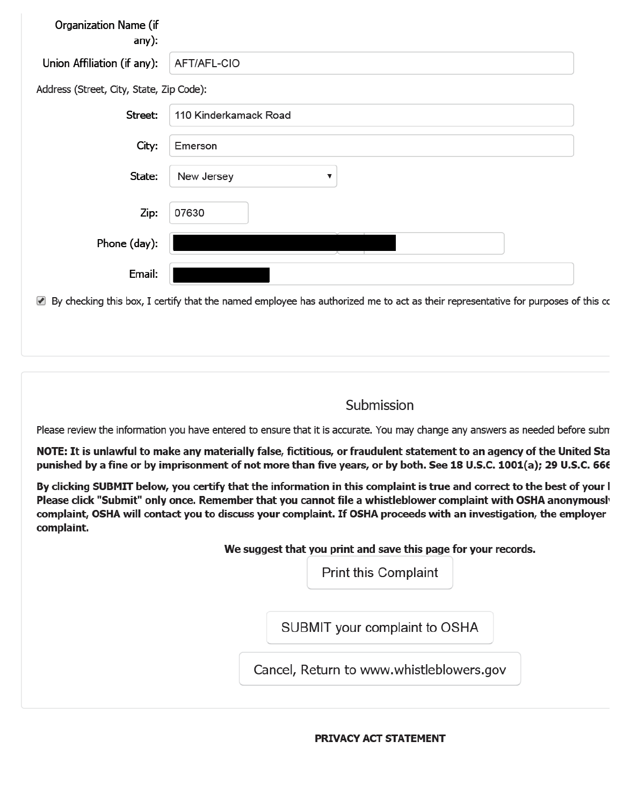| Organization Name (if<br>any):           |                                                                                                                                  |
|------------------------------------------|----------------------------------------------------------------------------------------------------------------------------------|
| Union Affiliation (if any):              | AFT/AFL-CIO                                                                                                                      |
| Address (Street, City, State, Zip Code): |                                                                                                                                  |
| Street:                                  | 110 Kinderkamack Road                                                                                                            |
| City:                                    | Emerson                                                                                                                          |
| State:                                   | New Jersey<br>▼                                                                                                                  |
| Zip:                                     | 07630                                                                                                                            |
| Phone (day):                             |                                                                                                                                  |
| Email:                                   |                                                                                                                                  |
| $\blacktriangleright$                    | By checking this box, I certify that the named employee has authorized me to act as their representative for purposes of this co |

### Submission

Please review the information you have entered to ensure that it is accurate. You may change any answers as needed before subn

NOTE: It is unlawful to make any materially false, fictitious, or fraudulent statement to an agency of the United Sta punished by a fine or by imprisonment of not more than five years, or by both. See 18 U.S.C. 1001(a); 29 U.S.C. 666

By clicking SUBMIT below, you certify that the information in this complaint is true and correct to the best of your l Please click "Submit" only once. Remember that you cannot file a whistleblower complaint with OSHA anonymously complaint, OSHA will contact you to discuss your complaint. If OSHA proceeds with an investigation, the employer complaint.

We suggest that you print and save this page for your records.

**Print this Complaint** 

SUBMIT your complaint to OSHA

Cancel, Return to www.whistleblowers.gov

#### PRIVACY ACT STATEMENT